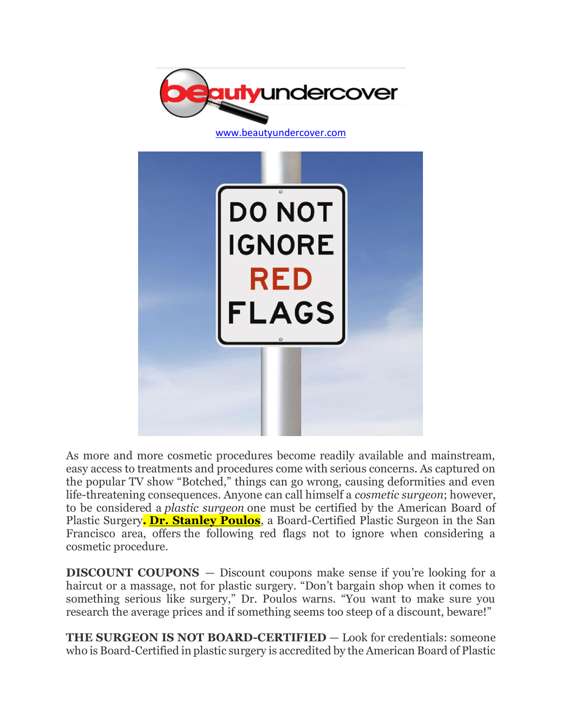

As more and more cosmetic procedures become readily available and mainstream, easy access to treatments and procedures come with serious concerns. As captured on the popular TV show "Botched," things can go wrong, causing deformities and even life-threatening consequences. Anyone can call himself a *cosmetic surgeon*; however, to be considered a *plastic surgeon* one must be certified by the American Board of Plastic Surgery**. [Dr. Stanley Poulos](https://www.psspecialists.com/)**, a Board-Certified Plastic Surgeon in the San Francisco area, offers the following red flags not to ignore when considering a cosmetic procedure.

**DISCOUNT COUPONS** – Discount coupons make sense if you're looking for a haircut or a massage, not for plastic surgery. "Don't bargain shop when it comes to something serious like surgery," Dr. Poulos warns. "You want to make sure you research the average prices and if something seems too steep of a discount, beware!"

**THE SURGEON IS NOT BOARD-CERTIFIED** — Look for credentials: someone who is Board-Certified in plastic surgery is accredited by the American Board of Plastic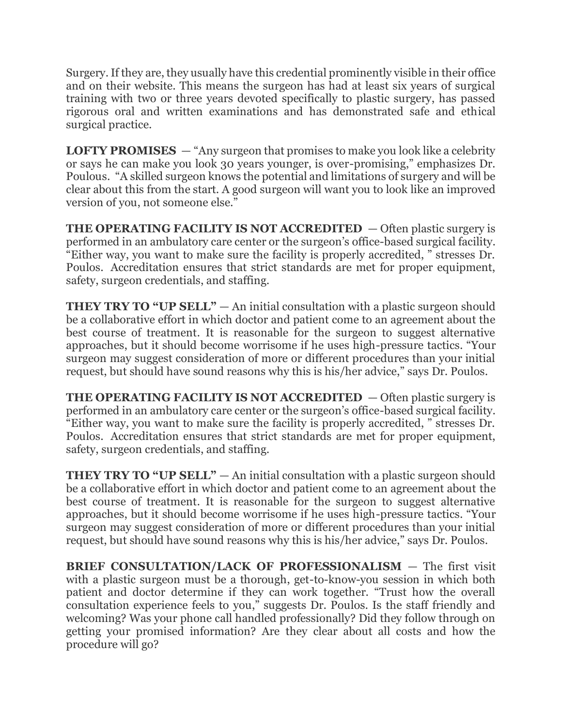Surgery. If they are, they usually have this credential prominently visible in their office and on their website. This means the surgeon has had at least six years of surgical training with two or three years devoted specifically to plastic surgery, has passed rigorous oral and written examinations and has demonstrated safe and ethical surgical practice.

**LOFTY PROMISES** — "Any surgeon that promises to make you look like a celebrity or says he can make you look 30 years younger, is over-promising," emphasizes Dr. Poulous. "A skilled surgeon knows the potential and limitations of surgery and will be clear about this from the start. A good surgeon will want you to look like an improved version of you, not someone else."

**THE OPERATING FACILITY IS NOT ACCREDITED** — Often plastic surgery is performed in an ambulatory care center or the surgeon's office-based surgical facility. "Either way, you want to make sure the facility is properly accredited, " stresses Dr. Poulos. Accreditation ensures that strict standards are met for proper equipment, safety, surgeon credentials, and staffing.

**THEY TRY TO "UP SELL"** — An initial consultation with a plastic surgeon should be a collaborative effort in which doctor and patient come to an agreement about the best course of treatment. It is reasonable for the surgeon to suggest alternative approaches, but it should become worrisome if he uses high-pressure tactics. "Your surgeon may suggest consideration of more or different procedures than your initial request, but should have sound reasons why this is his/her advice," says Dr. Poulos.

**THE OPERATING FACILITY IS NOT ACCREDITED** — Often plastic surgery is performed in an ambulatory care center or the surgeon's office-based surgical facility. "Either way, you want to make sure the facility is properly accredited, " stresses Dr. Poulos. Accreditation ensures that strict standards are met for proper equipment, safety, surgeon credentials, and staffing.

**THEY TRY TO "UP SELL"** — An initial consultation with a plastic surgeon should be a collaborative effort in which doctor and patient come to an agreement about the best course of treatment. It is reasonable for the surgeon to suggest alternative approaches, but it should become worrisome if he uses high-pressure tactics. "Your surgeon may suggest consideration of more or different procedures than your initial request, but should have sound reasons why this is his/her advice," says Dr. Poulos.

**BRIEF CONSULTATION/LACK OF PROFESSIONALISM** — The first visit with a plastic surgeon must be a thorough, get-to-know-you session in which both patient and doctor determine if they can work together. "Trust how the overall consultation experience feels to you," suggests Dr. Poulos. Is the staff friendly and welcoming? Was your phone call handled professionally? Did they follow through on getting your promised information? Are they clear about all costs and how the procedure will go?